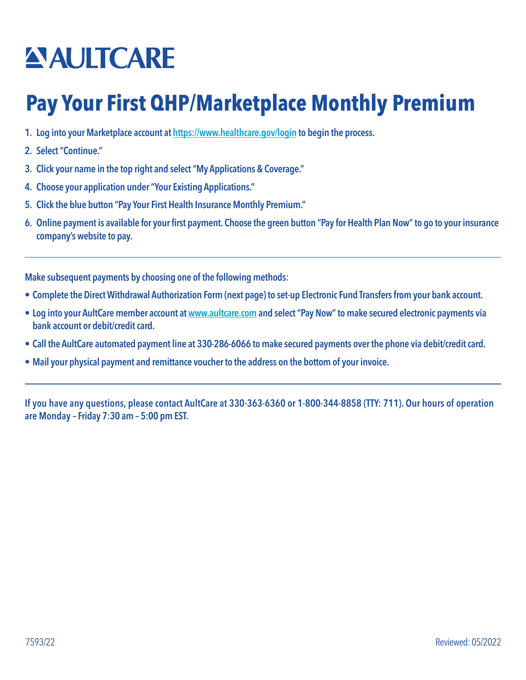## **ANITCARE**

## **Pay Your First QHP/Marketplace Monthly Premium**

- 1. Log into your Marketplace account at<https://www.healthcare.gov/login> to begin the process.
- 2. Select "Continue."
- 3. Click your name in the top right and select "My Applications & Coverage."
- 4. Choose your application under "Your Existing Applications."
- 5. Click the blue button "Pay Your First Health Insurance Monthly Premium."
- 6. Online payment is available for your first payment. Choose the green button "Pay for Health Plan Now" to go to your insurance company's website to pay.

Make subsequent payments by choosing one of the following methods:

- Complete the Direct Withdrawal Authorization Form (next page) to set-up Electronic Fund Transfers from your bank account.
- Log into your AultCare member account at [www.aultcare.com](http://www.aultcare.com) and select "Pay Now" to make secured electronic payments via bank account or debit/credit card.
- Call the AultCare automated payment line at 330-286-6066 to make secured payments over the phone via debit/credit card.
- Mail your physical payment and remittance voucher to the address on the bottom of your invoice.

If you have any questions, please contact AultCare at 330-363-6360 or 1-800-344-8858 (TTY: 711). Our hours of operation are Monday – Friday 7:30 am – 5:00 pm EST.